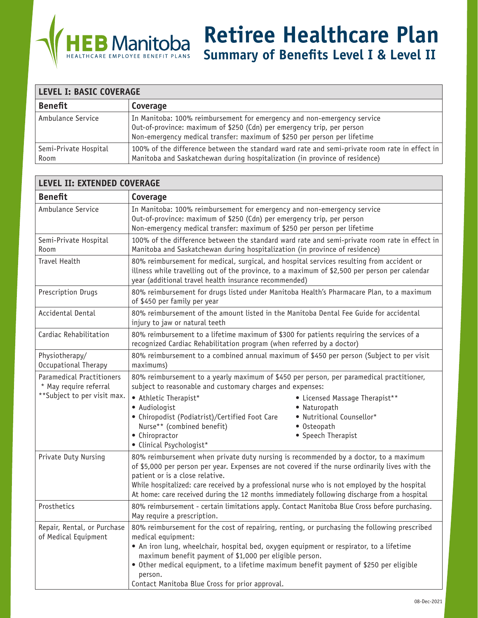

**Retiree Healthcare Plan**

**Summary of Benefits Level I & Level II**

| <b>LEVEL I: BASIC COVERAGE</b> |                                                                                                                                                                                                                               |  |  |
|--------------------------------|-------------------------------------------------------------------------------------------------------------------------------------------------------------------------------------------------------------------------------|--|--|
| <b>Benefit</b>                 | Coverage                                                                                                                                                                                                                      |  |  |
| Ambulance Service              | In Manitoba: 100% reimbursement for emergency and non-emergency service<br>Out-of-province: maximum of \$250 (Cdn) per emergency trip, per person<br>Non-emergency medical transfer: maximum of \$250 per person per lifetime |  |  |
| Semi-Private Hospital<br>Room  | 100% of the difference between the standard ward rate and semi-private room rate in effect in<br>Manitoba and Saskatchewan during hospitalization (in province of residence)                                                  |  |  |

| <b>LEVEL II: EXTENDED COVERAGE</b>                         |                                                                                                                                                                                                                                                                                                                                                                                                                                  |  |  |
|------------------------------------------------------------|----------------------------------------------------------------------------------------------------------------------------------------------------------------------------------------------------------------------------------------------------------------------------------------------------------------------------------------------------------------------------------------------------------------------------------|--|--|
| <b>Benefit</b>                                             | Coverage                                                                                                                                                                                                                                                                                                                                                                                                                         |  |  |
| Ambulance Service                                          | In Manitoba: 100% reimbursement for emergency and non-emergency service<br>Out-of-province: maximum of \$250 (Cdn) per emergency trip, per person<br>Non-emergency medical transfer: maximum of \$250 per person per lifetime                                                                                                                                                                                                    |  |  |
| Semi-Private Hospital<br>Room                              | 100% of the difference between the standard ward rate and semi-private room rate in effect in<br>Manitoba and Saskatchewan during hospitalization (in province of residence)                                                                                                                                                                                                                                                     |  |  |
| <b>Travel Health</b>                                       | 80% reimbursement for medical, surgical, and hospital services resulting from accident or<br>illness while travelling out of the province, to a maximum of \$2,500 per person per calendar<br>year (additional travel health insurance recommended)                                                                                                                                                                              |  |  |
| Prescription Drugs                                         | 80% reimbursement for drugs listed under Manitoba Health's Pharmacare Plan, to a maximum<br>of \$450 per family per year                                                                                                                                                                                                                                                                                                         |  |  |
| Accidental Dental                                          | 80% reimbursement of the amount listed in the Manitoba Dental Fee Guide for accidental<br>injury to jaw or natural teeth                                                                                                                                                                                                                                                                                                         |  |  |
| Cardiac Rehabilitation                                     | 80% reimbursement to a lifetime maximum of \$300 for patients requiring the services of a<br>recognized Cardiac Rehabilitation program (when referred by a doctor)                                                                                                                                                                                                                                                               |  |  |
| Physiotherapy/<br>Occupational Therapy                     | 80% reimbursement to a combined annual maximum of \$450 per person (Subject to per visit<br>maximums)                                                                                                                                                                                                                                                                                                                            |  |  |
| <b>Paramedical Practitioners</b><br>* May require referral | 80% reimbursement to a yearly maximum of \$450 per person, per paramedical practitioner,<br>subject to reasonable and customary charges and expenses:                                                                                                                                                                                                                                                                            |  |  |
| **Subject to per visit max.                                | • Athletic Therapist*<br>• Licensed Massage Therapist**<br>• Audiologist<br>• Naturopath<br>• Chiropodist (Podiatrist)/Certified Foot Care<br>· Nutritional Counsellor*<br>Nurse** (combined benefit)<br>• Osteopath<br>• Chiropractor<br>• Speech Therapist<br>· Clinical Psychologist*                                                                                                                                         |  |  |
| Private Duty Nursing                                       | 80% reimbursement when private duty nursing is recommended by a doctor, to a maximum<br>of \$5,000 per person per year. Expenses are not covered if the nurse ordinarily lives with the<br>patient or is a close relative.<br>While hospitalized: care received by a professional nurse who is not employed by the hospital<br>At home: care received during the 12 months immediately following discharge from a hospital       |  |  |
| Prosthetics                                                | 80% reimbursement - certain limitations apply. Contact Manitoba Blue Cross before purchasing.<br>May require a prescription.                                                                                                                                                                                                                                                                                                     |  |  |
| Repair, Rental, or Purchase<br>of Medical Equipment        | 80% reimbursement for the cost of repairing, renting, or purchasing the following prescribed<br>medical equipment:<br>• An iron lung, wheelchair, hospital bed, oxygen equipment or respirator, to a lifetime<br>maximum benefit payment of \$1,000 per eligible person.<br>• Other medical equipment, to a lifetime maximum benefit payment of \$250 per eligible<br>person.<br>Contact Manitoba Blue Cross for prior approval. |  |  |